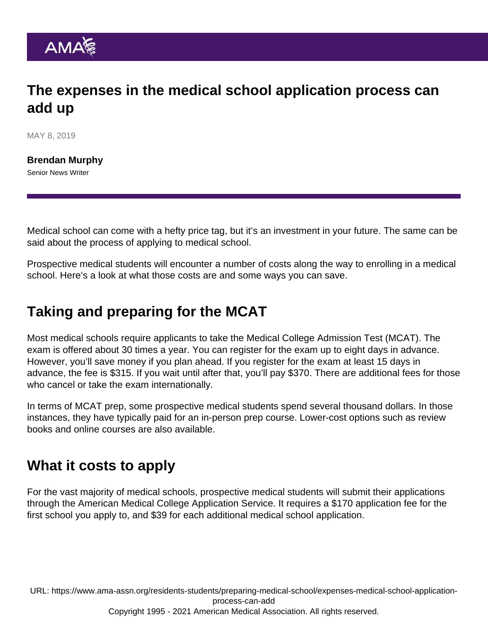## The expenses in the medical school application process can add up

MAY 8, 2019

[Brendan Murphy](https://www.ama-assn.org/news-leadership-viewpoints/authors-news-leadership-viewpoints/brendan-murphy) Senior News Writer

Medical school can come with a hefty price tag, but it's an investment in your future. The same can be said about the process of applying to medical school.

Prospective medical students will encounter a number of costs along the way to enrolling in a medical school. Here's a look at what those costs are and some ways you can save.

## Taking and preparing for the MCAT

Most medical schools require applicants to take the Medical College Admission Test (MCAT). The exam is offered about 30 times a year. You can register for the exam up to eight days in advance. However, you'll save money if you plan ahead. If you register for the exam at least 15 days in advance, the fee is \$315. If you wait until after that, you'll pay \$370. There are additional fees for those who cancel or take the exam internationally.

In terms of MCAT prep, some prospective medical students spend several thousand dollars. In those instances, they have typically paid for an in-person prep course. Lower-cost options such as review books and online courses are also available.

## What it costs to apply

For the vast majority of medical schools, prospective medical students will submit their applications through the American Medical College Application Service. It requires a \$170 application fee for the first school you apply to, and \$39 for each additional medical school application.

URL: [https://www.ama-assn.org/residents-students/preparing-medical-school/expenses-medical-school-application](https://www.ama-assn.org/residents-students/preparing-medical-school/expenses-medical-school-application-process-can-add)[process-can-add](https://www.ama-assn.org/residents-students/preparing-medical-school/expenses-medical-school-application-process-can-add) Copyright 1995 - 2021 American Medical Association. All rights reserved.